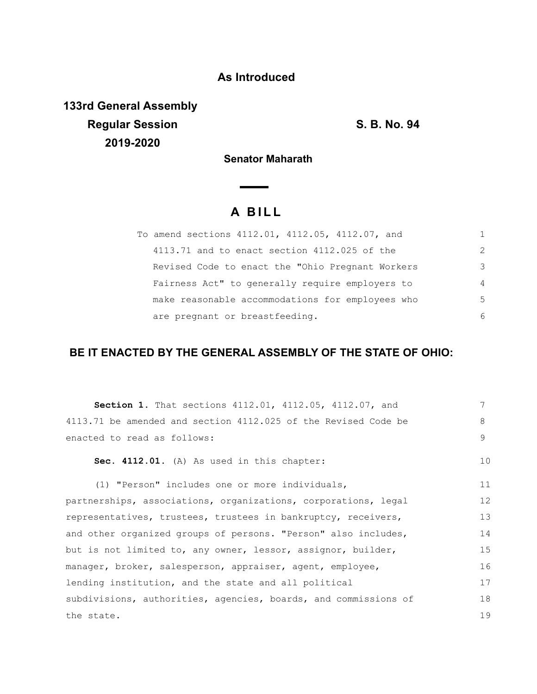## **As Introduced**

**133rd General Assembly Regular Session S. B. No. 94 2019-2020**

**Senator Maharath**

# **A B I L L**

**Contract Contract** 

| To amend sections 4112.01, 4112.05, 4112.07, and  |               |
|---------------------------------------------------|---------------|
| 4113.71 and to enact section 4112.025 of the      | $\mathcal{P}$ |
| Revised Code to enact the "Ohio Pregnant Workers" | 3             |
| Fairness Act" to generally require employers to   | 4             |
| make reasonable accommodations for employees who  | 5             |
| are pregnant or breastfeeding.                    | 6             |

### **BE IT ENACTED BY THE GENERAL ASSEMBLY OF THE STATE OF OHIO:**

| Section 1. That sections 4112.01, 4112.05, 4112.07, and         | 7  |
|-----------------------------------------------------------------|----|
| 4113.71 be amended and section 4112.025 of the Revised Code be  | 8  |
| enacted to read as follows:                                     | 9  |
| Sec. 4112.01. (A) As used in this chapter:                      | 10 |
| (1) "Person" includes one or more individuals,                  | 11 |
| partnerships, associations, organizations, corporations, legal  | 12 |
| representatives, trustees, trustees in bankruptcy, receivers,   | 13 |
| and other organized groups of persons. "Person" also includes,  | 14 |
| but is not limited to, any owner, lessor, assignor, builder,    | 15 |
| manager, broker, salesperson, appraiser, agent, employee,       | 16 |
| lending institution, and the state and all political            | 17 |
| subdivisions, authorities, agencies, boards, and commissions of | 18 |
| the state.                                                      | 19 |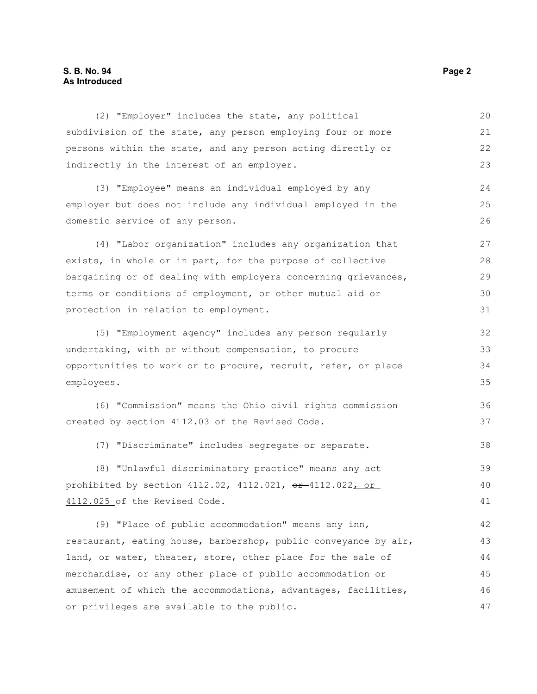#### **S. B. No. 94 Page 2 As Introduced**

(2) "Employer" includes the state, any political subdivision of the state, any person employing four or more persons within the state, and any person acting directly or indirectly in the interest of an employer. (3) "Employee" means an individual employed by any employer but does not include any individual employed in the domestic service of any person. (4) "Labor organization" includes any organization that exists, in whole or in part, for the purpose of collective bargaining or of dealing with employers concerning grievances, terms or conditions of employment, or other mutual aid or protection in relation to employment. (5) "Employment agency" includes any person regularly undertaking, with or without compensation, to procure opportunities to work or to procure, recruit, refer, or place employees. (6) "Commission" means the Ohio civil rights commission created by section 4112.03 of the Revised Code. (7) "Discriminate" includes segregate or separate. (8) "Unlawful discriminatory practice" means any act prohibited by section  $4112.02$ ,  $4112.021$ ,  $\theta$ r  $-4112.022$ , or 4112.025 of the Revised Code. (9) "Place of public accommodation" means any inn, restaurant, eating house, barbershop, public conveyance by air, land, or water, theater, store, other place for the sale of merchandise, or any other place of public accommodation or amusement of which the accommodations, advantages, facilities, or privileges are available to the public. 20 21 22 23 24 25 26 27 28 29 30 31 32 33 34 35 36 37 38 39 40 41 42 43 44 45 46 47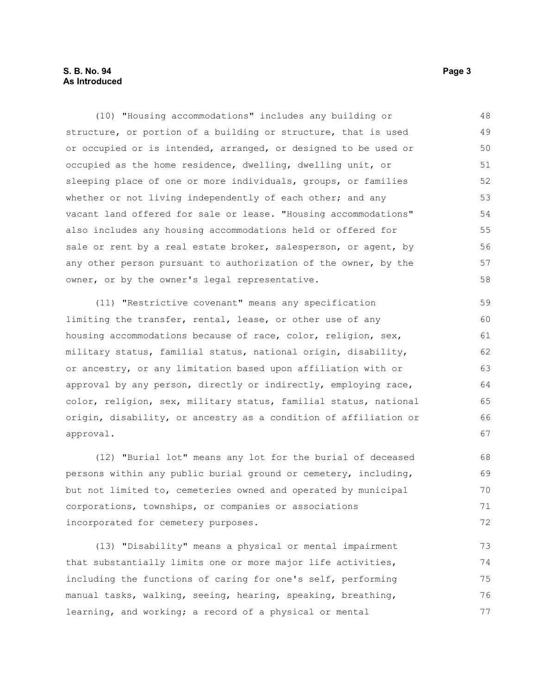#### **S. B. No. 94 Page 3 As Introduced**

(10) "Housing accommodations" includes any building or structure, or portion of a building or structure, that is used or occupied or is intended, arranged, or designed to be used or occupied as the home residence, dwelling, dwelling unit, or sleeping place of one or more individuals, groups, or families whether or not living independently of each other; and any vacant land offered for sale or lease. "Housing accommodations" also includes any housing accommodations held or offered for sale or rent by a real estate broker, salesperson, or agent, by any other person pursuant to authorization of the owner, by the owner, or by the owner's legal representative. 48 49 50 51 52 53 54 55 56 57 58

(11) "Restrictive covenant" means any specification limiting the transfer, rental, lease, or other use of any housing accommodations because of race, color, religion, sex, military status, familial status, national origin, disability, or ancestry, or any limitation based upon affiliation with or approval by any person, directly or indirectly, employing race, color, religion, sex, military status, familial status, national origin, disability, or ancestry as a condition of affiliation or approval.

(12) "Burial lot" means any lot for the burial of deceased persons within any public burial ground or cemetery, including, but not limited to, cemeteries owned and operated by municipal corporations, townships, or companies or associations incorporated for cemetery purposes.

(13) "Disability" means a physical or mental impairment that substantially limits one or more major life activities, including the functions of caring for one's self, performing manual tasks, walking, seeing, hearing, speaking, breathing, learning, and working; a record of a physical or mental 73 74 75 76 77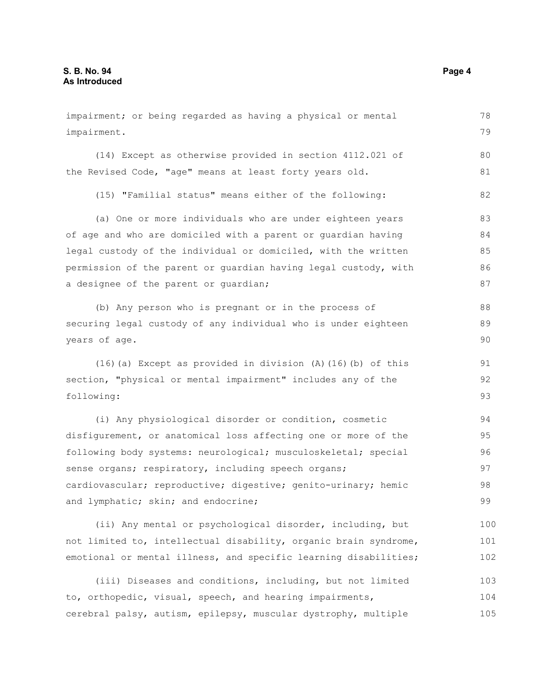impairment; or being regarded as having a physical or mental impairment. (14) Except as otherwise provided in section 4112.021 of the Revised Code, "age" means at least forty years old. (15) "Familial status" means either of the following: (a) One or more individuals who are under eighteen years of age and who are domiciled with a parent or guardian having legal custody of the individual or domiciled, with the written permission of the parent or guardian having legal custody, with a designee of the parent or guardian; (b) Any person who is pregnant or in the process of securing legal custody of any individual who is under eighteen years of age. (16)(a) Except as provided in division (A)(16)(b) of this section, "physical or mental impairment" includes any of the following: (i) Any physiological disorder or condition, cosmetic disfigurement, or anatomical loss affecting one or more of the following body systems: neurological; musculoskeletal; special sense organs; respiratory, including speech organs; cardiovascular; reproductive; digestive; genito-urinary; hemic and lymphatic; skin; and endocrine; (ii) Any mental or psychological disorder, including, but 78 79 80 81 82 83 84 85 86 87 88 89 90 91 92 93 94 95 96 97 98 99 100

not limited to, intellectual disability, organic brain syndrome, emotional or mental illness, and specific learning disabilities; 101 102

(iii) Diseases and conditions, including, but not limited to, orthopedic, visual, speech, and hearing impairments, cerebral palsy, autism, epilepsy, muscular dystrophy, multiple 103 104 105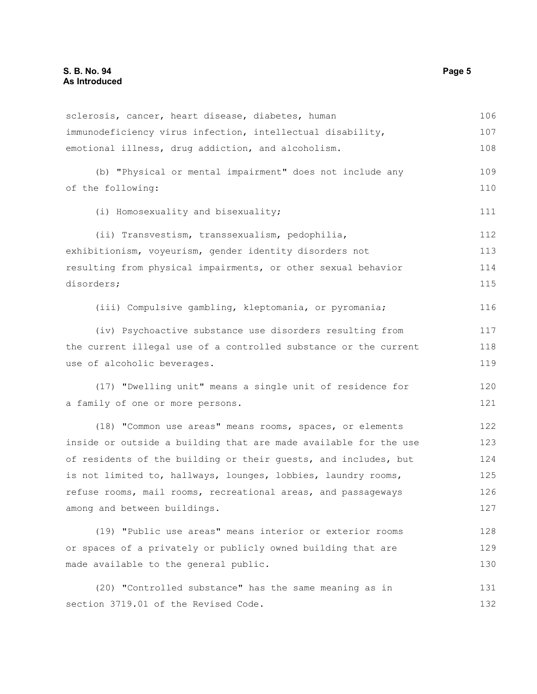| sclerosis, cancer, heart disease, diabetes, human                | 106 |
|------------------------------------------------------------------|-----|
| immunodeficiency virus infection, intellectual disability,       | 107 |
| emotional illness, drug addiction, and alcoholism.               | 108 |
| (b) "Physical or mental impairment" does not include any         | 109 |
| of the following:                                                | 110 |
| (i) Homosexuality and bisexuality;                               | 111 |
| (ii) Transvestism, transsexualism, pedophilia,                   | 112 |
| exhibitionism, voyeurism, gender identity disorders not          | 113 |
| resulting from physical impairments, or other sexual behavior    | 114 |
| disorders;                                                       | 115 |
| (iii) Compulsive gambling, kleptomania, or pyromania;            | 116 |
| (iv) Psychoactive substance use disorders resulting from         | 117 |
| the current illegal use of a controlled substance or the current | 118 |
| use of alcoholic beverages.                                      | 119 |
| (17) "Dwelling unit" means a single unit of residence for        | 120 |
| a family of one or more persons.                                 | 121 |
| (18) "Common use areas" means rooms, spaces, or elements         | 122 |
| inside or outside a building that are made available for the use | 123 |
| of residents of the building or their quests, and includes, but  | 124 |
| is not limited to, hallways, lounges, lobbies, laundry rooms,    | 125 |
| refuse rooms, mail rooms, recreational areas, and passageways    | 126 |
| among and between buildings.                                     | 127 |
| (19) "Public use areas" means interior or exterior rooms         | 128 |
| or spaces of a privately or publicly owned building that are     | 129 |
| made available to the general public.                            | 130 |
| (20) "Controlled substance" has the same meaning as in           | 131 |
| section 3719.01 of the Revised Code.                             | 132 |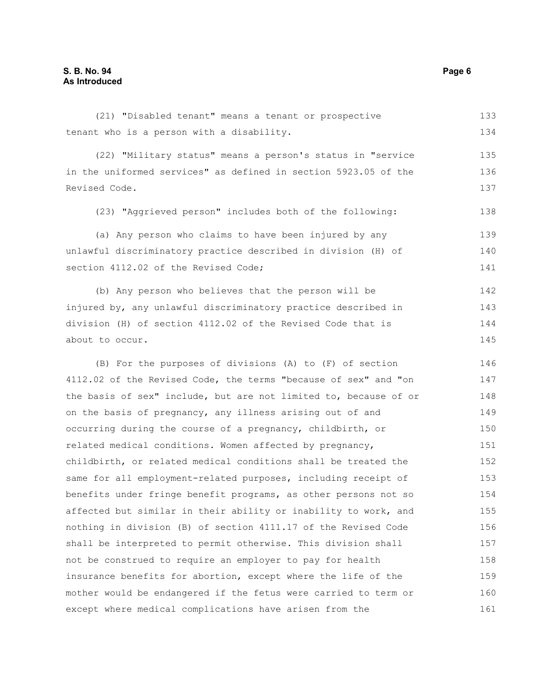(21) "Disabled tenant" means a tenant or prospective tenant who is a person with a disability. 133 134

(22) "Military status" means a person's status in "service in the uniformed services" as defined in section 5923.05 of the Revised Code.

(23) "Aggrieved person" includes both of the following:

(a) Any person who claims to have been injured by any unlawful discriminatory practice described in division (H) of section 4112.02 of the Revised Code; 139 140 141

(b) Any person who believes that the person will be injured by, any unlawful discriminatory practice described in division (H) of section 4112.02 of the Revised Code that is about to occur. 142 143 144 145

(B) For the purposes of divisions (A) to (F) of section 4112.02 of the Revised Code, the terms "because of sex" and "on the basis of sex" include, but are not limited to, because of or on the basis of pregnancy, any illness arising out of and occurring during the course of a pregnancy, childbirth, or related medical conditions. Women affected by pregnancy, childbirth, or related medical conditions shall be treated the same for all employment-related purposes, including receipt of benefits under fringe benefit programs, as other persons not so affected but similar in their ability or inability to work, and nothing in division (B) of section 4111.17 of the Revised Code shall be interpreted to permit otherwise. This division shall not be construed to require an employer to pay for health insurance benefits for abortion, except where the life of the mother would be endangered if the fetus were carried to term or except where medical complications have arisen from the 146 147 148 149 150 151 152 153 154 155 156 157 158 159 160 161

135 136 137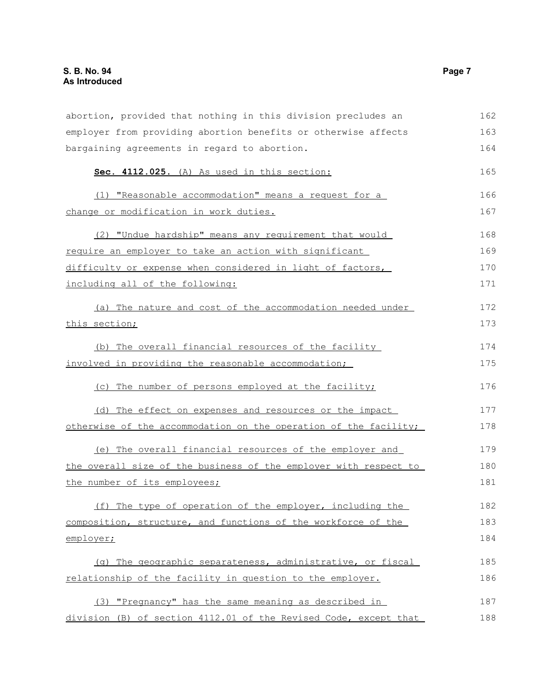| abortion, provided that nothing in this division precludes an    | 162 |
|------------------------------------------------------------------|-----|
| employer from providing abortion benefits or otherwise affects   | 163 |
| bargaining agreements in regard to abortion.                     | 164 |
| Sec. 4112.025. (A) As used in this section:                      | 165 |
| (1) "Reasonable accommodation" means a request for a             | 166 |
| change or modification in work duties.                           | 167 |
| (2) "Undue hardship" means any requirement that would            | 168 |
| require an employer to take an action with significant           | 169 |
| difficulty or expense when considered in light of factors,       | 170 |
| including all of the following:                                  | 171 |
| (a) The nature and cost of the accommodation needed under        | 172 |
| this section;                                                    | 173 |
| (b) The overall financial resources of the facility              | 174 |
| involved in providing the reasonable accommodation;              | 175 |
| (c) The number of persons employed at the facility;              | 176 |
| (d) The effect on expenses and resources or the impact           | 177 |
| otherwise of the accommodation on the operation of the facility; | 178 |
| (e) The overall financial resources of the employer and          | 179 |
| the overall size of the business of the employer with respect to | 180 |
| the number of its employees;                                     | 181 |
| (f) The type of operation of the employer, including the         | 182 |
| composition, structure, and functions of the workforce of the    | 183 |
| employer;                                                        | 184 |
| (g) The geographic separateness, administrative, or fiscal       | 185 |
| relationship of the facility in question to the employer.        | 186 |
| (3) "Pregnancy" has the same meaning as described in             | 187 |
| division (B) of section 4112.01 of the Revised Code, except that | 188 |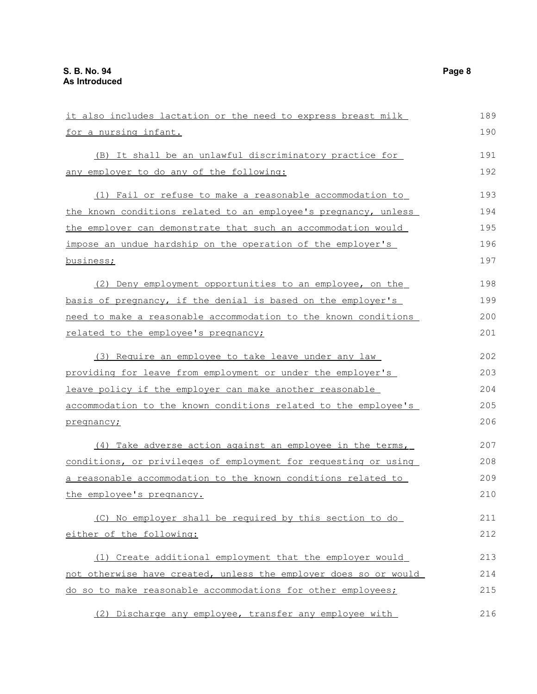| it also includes lactation or the need to express breast milk    | 189 |
|------------------------------------------------------------------|-----|
| for a nursing infant.                                            | 190 |
| (B) It shall be an unlawful discriminatory practice for          | 191 |
| any employer to do any of the following:                         | 192 |
| (1) Fail or refuse to make a reasonable accommodation to         | 193 |
| the known conditions related to an employee's pregnancy, unless  | 194 |
| the employer can demonstrate that such an accommodation would    | 195 |
| impose an undue hardship on the operation of the employer's      | 196 |
| business;                                                        | 197 |
| (2) Deny employment opportunities to an employee, on the         | 198 |
| basis of pregnancy, if the denial is based on the employer's     | 199 |
| need to make a reasonable accommodation to the known conditions  | 200 |
| related to the employee's pregnancy;                             | 201 |
| (3) Require an employee to take leave under any law              | 202 |
| providing for leave from employment or under the employer's      | 203 |
| leave policy if the employer can make another reasonable         | 204 |
| accommodation to the known conditions related to the employee's  | 205 |
| pregnancy;                                                       | 206 |
| (4) Take adverse action against an employee in the terms,        | 207 |
| conditions, or privileges of employment for requesting or using  | 208 |
| a reasonable accommodation to the known conditions related to    | 209 |
| the employee's pregnancy.                                        | 210 |
| (C) No employer shall be required by this section to do          | 211 |
| either of the following:                                         | 212 |
| (1) Create additional employment that the employer would         | 213 |
| not otherwise have created, unless the employer does so or would | 214 |
| do so to make reasonable accommodations for other employees;     | 215 |
| (2) Discharge any employee, transfer any employee with           | 216 |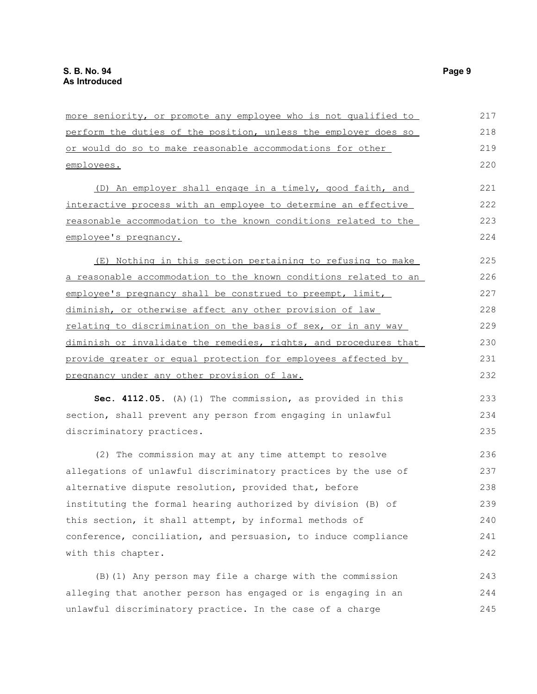| more seniority, or promote any employee who is not qualified to  | 217 |
|------------------------------------------------------------------|-----|
| perform the duties of the position, unless the employer does so  | 218 |
| or would do so to make reasonable accommodations for other       | 219 |
| employees.                                                       | 220 |
| (D) An employer shall engage in a timely, good faith, and        | 221 |
| interactive process with an employee to determine an effective   | 222 |
| reasonable accommodation to the known conditions related to the  | 223 |
| employee's pregnancy.                                            | 224 |
| (E) Nothing in this section pertaining to refusing to make       | 225 |
| a reasonable accommodation to the known conditions related to an | 226 |
| employee's pregnancy shall be construed to preempt, limit,       | 227 |
| diminish, or otherwise affect any other provision of law         | 228 |
| relating to discrimination on the basis of sex, or in any way    | 229 |
| diminish or invalidate the remedies, rights, and procedures that | 230 |
| provide greater or equal protection for employees affected by    | 231 |
| <u>pregnancy under any other provision of law.</u>               | 232 |
| Sec. 4112.05. (A) (1) The commission, as provided in this        | 233 |
| section, shall prevent any person from engaging in unlawful      | 234 |
| discriminatory practices.                                        | 235 |
| (2) The commission may at any time attempt to resolve            | 236 |
| allegations of unlawful discriminatory practices by the use of   | 237 |
| alternative dispute resolution, provided that, before            | 238 |
| instituting the formal hearing authorized by division (B) of     | 239 |
| this section, it shall attempt, by informal methods of           | 240 |
| conference, conciliation, and persuasion, to induce compliance   | 241 |
| with this chapter.                                               | 242 |
| (B) (1) Any person may file a charge with the commission         | 243 |
| alleging that another person has engaged or is engaging in an    | 244 |
| unlawful discriminatory practice. In the case of a charge        | 245 |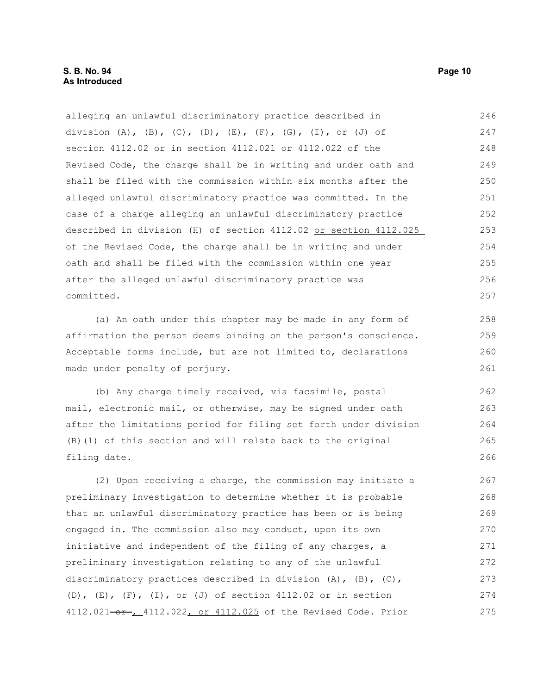alleging an unlawful discriminatory practice described in division  $(A)$ ,  $(B)$ ,  $(C)$ ,  $(D)$ ,  $(E)$ ,  $(F)$ ,  $(G)$ ,  $(I)$ , or  $(J)$  of section 4112.02 or in section 4112.021 or 4112.022 of the Revised Code, the charge shall be in writing and under oath and shall be filed with the commission within six months after the alleged unlawful discriminatory practice was committed. In the case of a charge alleging an unlawful discriminatory practice described in division (H) of section 4112.02 or section 4112.025 of the Revised Code, the charge shall be in writing and under oath and shall be filed with the commission within one year after the alleged unlawful discriminatory practice was committed. (a) An oath under this chapter may be made in any form of affirmation the person deems binding on the person's conscience. Acceptable forms include, but are not limited to, declarations made under penalty of perjury. (b) Any charge timely received, via facsimile, postal mail, electronic mail, or otherwise, may be signed under oath after the limitations period for filing set forth under division (B)(1) of this section and will relate back to the original filing date. (2) Upon receiving a charge, the commission may initiate a preliminary investigation to determine whether it is probable that an unlawful discriminatory practice has been or is being 246 247 248 249 250 251 252 253 254 255 256 257 258 259 260 261 262 263 264 265 266 267 268 269

engaged in. The commission also may conduct, upon its own initiative and independent of the filing of any charges, a preliminary investigation relating to any of the unlawful discriminatory practices described in division (A), (B), (C), (D),  $(E)$ ,  $(F)$ ,  $(I)$ , or  $(J)$  of section 4112.02 or in section 4112.021-or, 4112.022, or 4112.025 of the Revised Code. Prior 270 271 272 273 274 275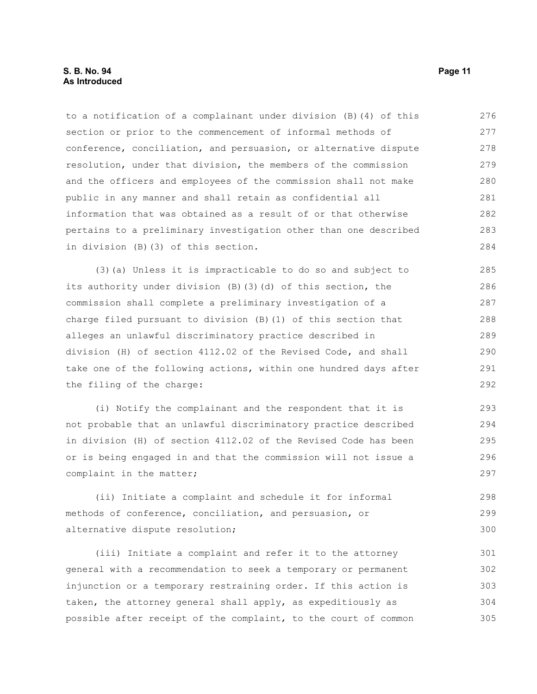to a notification of a complainant under division (B)(4) of this section or prior to the commencement of informal methods of conference, conciliation, and persuasion, or alternative dispute resolution, under that division, the members of the commission and the officers and employees of the commission shall not make public in any manner and shall retain as confidential all information that was obtained as a result of or that otherwise pertains to a preliminary investigation other than one described in division (B)(3) of this section. 276 277 278 279 280 281 282 283 284

(3)(a) Unless it is impracticable to do so and subject to its authority under division (B)(3)(d) of this section, the commission shall complete a preliminary investigation of a charge filed pursuant to division (B)(1) of this section that alleges an unlawful discriminatory practice described in division (H) of section 4112.02 of the Revised Code, and shall take one of the following actions, within one hundred days after the filing of the charge:

(i) Notify the complainant and the respondent that it is not probable that an unlawful discriminatory practice described in division (H) of section 4112.02 of the Revised Code has been or is being engaged in and that the commission will not issue a complaint in the matter; 293 294 295 296 297

(ii) Initiate a complaint and schedule it for informal methods of conference, conciliation, and persuasion, or alternative dispute resolution; 298 299 300

(iii) Initiate a complaint and refer it to the attorney general with a recommendation to seek a temporary or permanent injunction or a temporary restraining order. If this action is taken, the attorney general shall apply, as expeditiously as possible after receipt of the complaint, to the court of common 301 302 303 304 305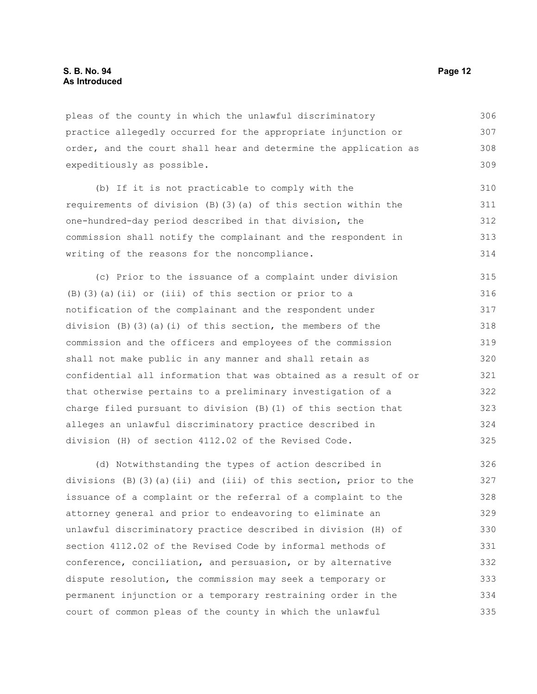pleas of the county in which the unlawful discriminatory practice allegedly occurred for the appropriate injunction or order, and the court shall hear and determine the application as expeditiously as possible. 306 307 308 309

(b) If it is not practicable to comply with the requirements of division (B)(3)(a) of this section within the one-hundred-day period described in that division, the commission shall notify the complainant and the respondent in writing of the reasons for the noncompliance. 310 311 312 313 314

(c) Prior to the issuance of a complaint under division (B)(3)(a)(ii) or (iii) of this section or prior to a notification of the complainant and the respondent under division  $(B)$   $(3)$   $(a)$   $(i)$  of this section, the members of the commission and the officers and employees of the commission shall not make public in any manner and shall retain as confidential all information that was obtained as a result of or that otherwise pertains to a preliminary investigation of a charge filed pursuant to division (B)(1) of this section that alleges an unlawful discriminatory practice described in division (H) of section 4112.02 of the Revised Code. 315 316 317 318 319 320 321 322 323 324 325

(d) Notwithstanding the types of action described in divisions (B)(3)(a)(ii) and (iii) of this section, prior to the issuance of a complaint or the referral of a complaint to the attorney general and prior to endeavoring to eliminate an unlawful discriminatory practice described in division (H) of section 4112.02 of the Revised Code by informal methods of conference, conciliation, and persuasion, or by alternative dispute resolution, the commission may seek a temporary or permanent injunction or a temporary restraining order in the court of common pleas of the county in which the unlawful 326 327 328 329 330 331 332 333 334 335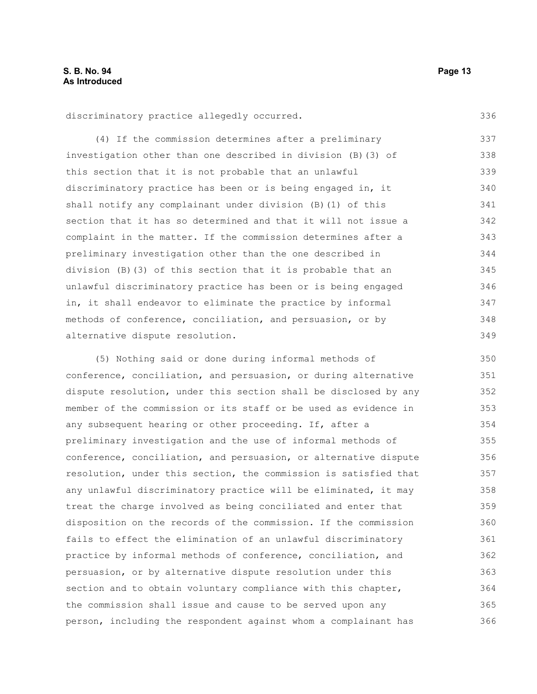336

discriminatory practice allegedly occurred.

(4) If the commission determines after a preliminary investigation other than one described in division (B)(3) of this section that it is not probable that an unlawful discriminatory practice has been or is being engaged in, it shall notify any complainant under division (B)(1) of this section that it has so determined and that it will not issue a complaint in the matter. If the commission determines after a preliminary investigation other than the one described in division (B)(3) of this section that it is probable that an unlawful discriminatory practice has been or is being engaged in, it shall endeavor to eliminate the practice by informal methods of conference, conciliation, and persuasion, or by alternative dispute resolution. 337 338 339 340 341 342 343 344 345 346 347 348 349

(5) Nothing said or done during informal methods of conference, conciliation, and persuasion, or during alternative dispute resolution, under this section shall be disclosed by any member of the commission or its staff or be used as evidence in any subsequent hearing or other proceeding. If, after a preliminary investigation and the use of informal methods of conference, conciliation, and persuasion, or alternative dispute resolution, under this section, the commission is satisfied that any unlawful discriminatory practice will be eliminated, it may treat the charge involved as being conciliated and enter that disposition on the records of the commission. If the commission fails to effect the elimination of an unlawful discriminatory practice by informal methods of conference, conciliation, and persuasion, or by alternative dispute resolution under this section and to obtain voluntary compliance with this chapter, the commission shall issue and cause to be served upon any person, including the respondent against whom a complainant has 350 351 352 353 354 355 356 357 358 359 360 361 362 363 364 365 366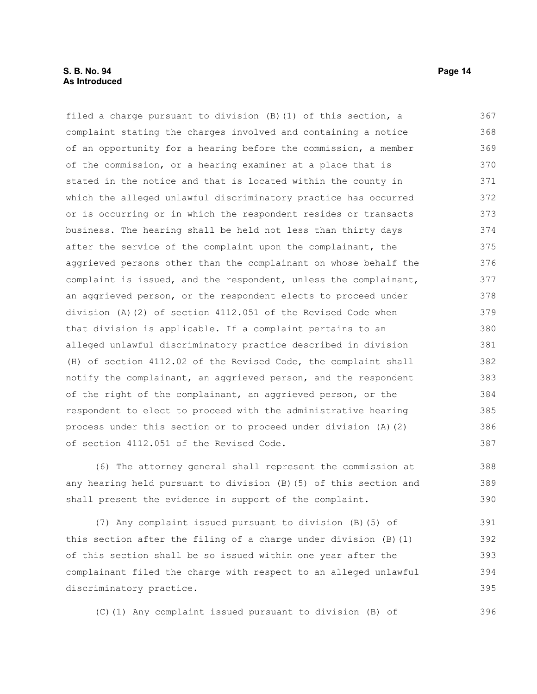#### **S. B. No. 94 Page 14 As Introduced**

filed a charge pursuant to division (B)(1) of this section, a complaint stating the charges involved and containing a notice of an opportunity for a hearing before the commission, a member of the commission, or a hearing examiner at a place that is stated in the notice and that is located within the county in which the alleged unlawful discriminatory practice has occurred or is occurring or in which the respondent resides or transacts business. The hearing shall be held not less than thirty days after the service of the complaint upon the complainant, the aggrieved persons other than the complainant on whose behalf the complaint is issued, and the respondent, unless the complainant, an aggrieved person, or the respondent elects to proceed under division (A)(2) of section 4112.051 of the Revised Code when that division is applicable. If a complaint pertains to an alleged unlawful discriminatory practice described in division (H) of section 4112.02 of the Revised Code, the complaint shall notify the complainant, an aggrieved person, and the respondent of the right of the complainant, an aggrieved person, or the respondent to elect to proceed with the administrative hearing process under this section or to proceed under division (A)(2) of section 4112.051 of the Revised Code. 367 368 369 370 371 372 373 374 375 376 377 378 379 380 381 382 383 384 385 386 387

(6) The attorney general shall represent the commission at any hearing held pursuant to division (B)(5) of this section and shall present the evidence in support of the complaint.

(7) Any complaint issued pursuant to division (B)(5) of this section after the filing of a charge under division (B)(1) of this section shall be so issued within one year after the complainant filed the charge with respect to an alleged unlawful discriminatory practice. 391 392 393 394 395

(C)(1) Any complaint issued pursuant to division (B) of

396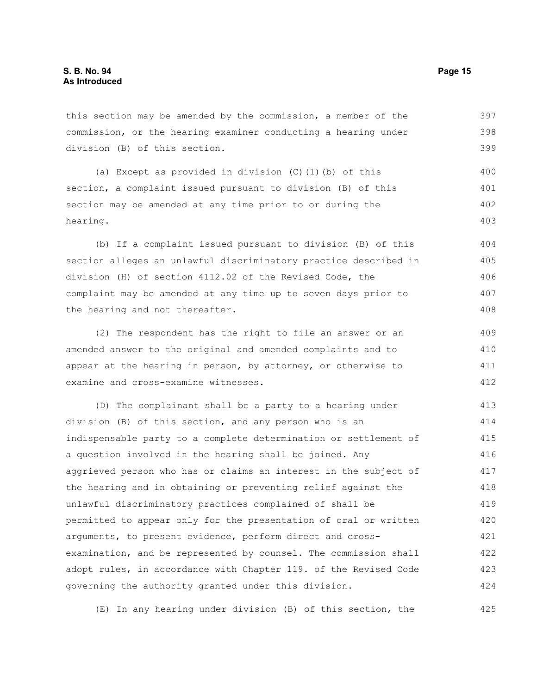this section may be amended by the commission, a member of the commission, or the hearing examiner conducting a hearing under division (B) of this section. 397 398 399

(a) Except as provided in division (C)(1)(b) of this section, a complaint issued pursuant to division (B) of this section may be amended at any time prior to or during the hearing. 400 401 402 403

(b) If a complaint issued pursuant to division (B) of this section alleges an unlawful discriminatory practice described in division (H) of section 4112.02 of the Revised Code, the complaint may be amended at any time up to seven days prior to the hearing and not thereafter. 404 405 406 407 408

(2) The respondent has the right to file an answer or an amended answer to the original and amended complaints and to appear at the hearing in person, by attorney, or otherwise to examine and cross-examine witnesses. 409 410 411 412

(D) The complainant shall be a party to a hearing under division (B) of this section, and any person who is an indispensable party to a complete determination or settlement of a question involved in the hearing shall be joined. Any aggrieved person who has or claims an interest in the subject of the hearing and in obtaining or preventing relief against the unlawful discriminatory practices complained of shall be permitted to appear only for the presentation of oral or written arguments, to present evidence, perform direct and crossexamination, and be represented by counsel. The commission shall adopt rules, in accordance with Chapter 119. of the Revised Code governing the authority granted under this division. 413 414 415 416 417 418 419 420 421 422 423 424

(E) In any hearing under division (B) of this section, the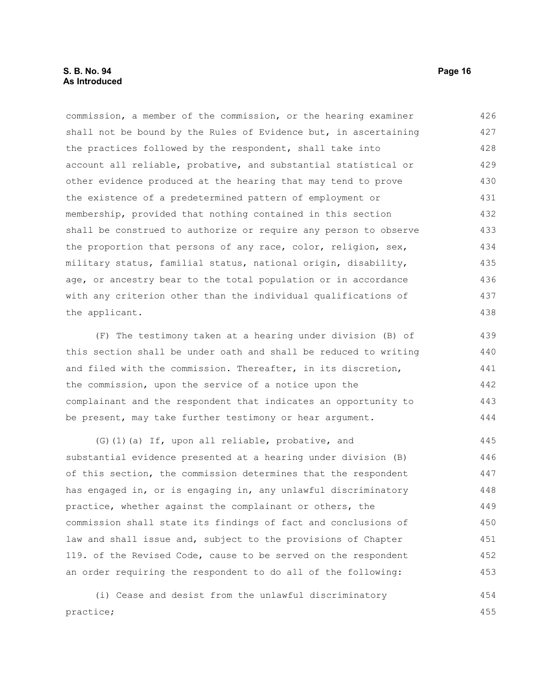commission, a member of the commission, or the hearing examiner shall not be bound by the Rules of Evidence but, in ascertaining the practices followed by the respondent, shall take into account all reliable, probative, and substantial statistical or other evidence produced at the hearing that may tend to prove the existence of a predetermined pattern of employment or membership, provided that nothing contained in this section shall be construed to authorize or require any person to observe the proportion that persons of any race, color, religion, sex, military status, familial status, national origin, disability, age, or ancestry bear to the total population or in accordance with any criterion other than the individual qualifications of the applicant. 426 427 428 429 430 431 432 433 434 435 436 437 438

(F) The testimony taken at a hearing under division (B) of this section shall be under oath and shall be reduced to writing and filed with the commission. Thereafter, in its discretion, the commission, upon the service of a notice upon the complainant and the respondent that indicates an opportunity to be present, may take further testimony or hear argument.

(G)(1)(a) If, upon all reliable, probative, and substantial evidence presented at a hearing under division (B) of this section, the commission determines that the respondent has engaged in, or is engaging in, any unlawful discriminatory practice, whether against the complainant or others, the commission shall state its findings of fact and conclusions of law and shall issue and, subject to the provisions of Chapter 119. of the Revised Code, cause to be served on the respondent an order requiring the respondent to do all of the following: 445 446 447 448 449 450 451 452 453

(i) Cease and desist from the unlawful discriminatory practice; 454 455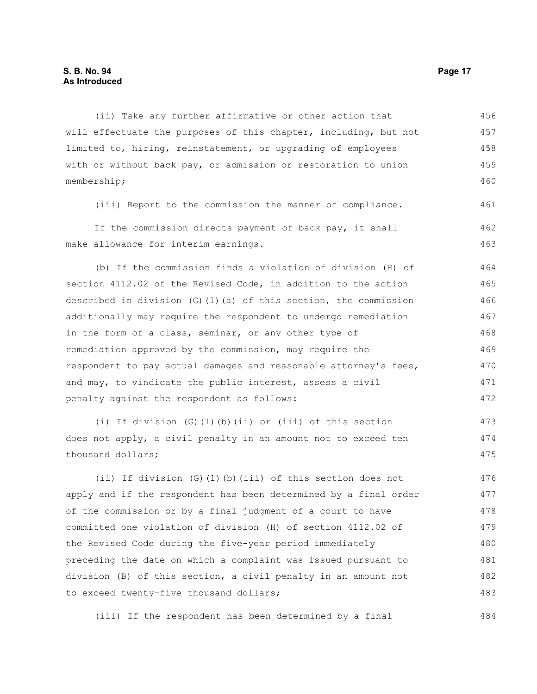#### **S. B. No. 94 Page 17 As Introduced**

(ii) Take any further affirmative or other action that will effectuate the purposes of this chapter, including, but not limited to, hiring, reinstatement, or upgrading of employees with or without back pay, or admission or restoration to union membership; 456 457 458 459 460

(iii) Report to the commission the manner of compliance. 461

If the commission directs payment of back pay, it shall make allowance for interim earnings. 462 463

(b) If the commission finds a violation of division (H) of section 4112.02 of the Revised Code, in addition to the action described in division  $(G)$  (1)(a) of this section, the commission additionally may require the respondent to undergo remediation in the form of a class, seminar, or any other type of remediation approved by the commission, may require the respondent to pay actual damages and reasonable attorney's fees, and may, to vindicate the public interest, assess a civil penalty against the respondent as follows: 464 465 466 467 468 469 470 471 472

(i) If division (G)(1)(b)(ii) or (iii) of this section does not apply, a civil penalty in an amount not to exceed ten thousand dollars; 473 474 475

(ii) If division (G)(1)(b)(iii) of this section does not apply and if the respondent has been determined by a final order of the commission or by a final judgment of a court to have committed one violation of division (H) of section 4112.02 of the Revised Code during the five-year period immediately preceding the date on which a complaint was issued pursuant to division (B) of this section, a civil penalty in an amount not to exceed twenty-five thousand dollars; 476 477 478 479 480 481 482 483

(iii) If the respondent has been determined by a final 484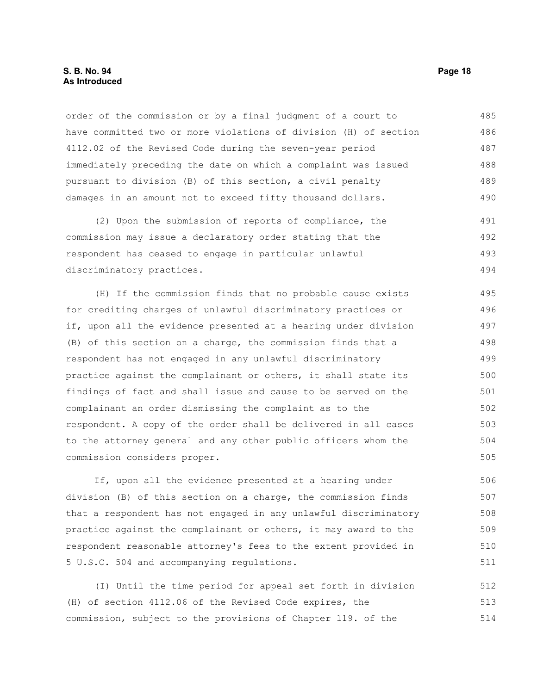#### **S. B. No. 94 Page 18 As Introduced**

order of the commission or by a final judgment of a court to have committed two or more violations of division (H) of section 4112.02 of the Revised Code during the seven-year period immediately preceding the date on which a complaint was issued pursuant to division (B) of this section, a civil penalty damages in an amount not to exceed fifty thousand dollars. 485 486 487 488 489 490

(2) Upon the submission of reports of compliance, the commission may issue a declaratory order stating that the respondent has ceased to engage in particular unlawful discriminatory practices. 491 492 493 494

(H) If the commission finds that no probable cause exists for crediting charges of unlawful discriminatory practices or if, upon all the evidence presented at a hearing under division (B) of this section on a charge, the commission finds that a respondent has not engaged in any unlawful discriminatory practice against the complainant or others, it shall state its findings of fact and shall issue and cause to be served on the complainant an order dismissing the complaint as to the respondent. A copy of the order shall be delivered in all cases to the attorney general and any other public officers whom the commission considers proper. 495 496 497 498 499 500 501 502 503 504 505

If, upon all the evidence presented at a hearing under division (B) of this section on a charge, the commission finds that a respondent has not engaged in any unlawful discriminatory practice against the complainant or others, it may award to the respondent reasonable attorney's fees to the extent provided in 5 U.S.C. 504 and accompanying regulations. 506 507 508 509 510 511

(I) Until the time period for appeal set forth in division (H) of section 4112.06 of the Revised Code expires, the commission, subject to the provisions of Chapter 119. of the 512 513 514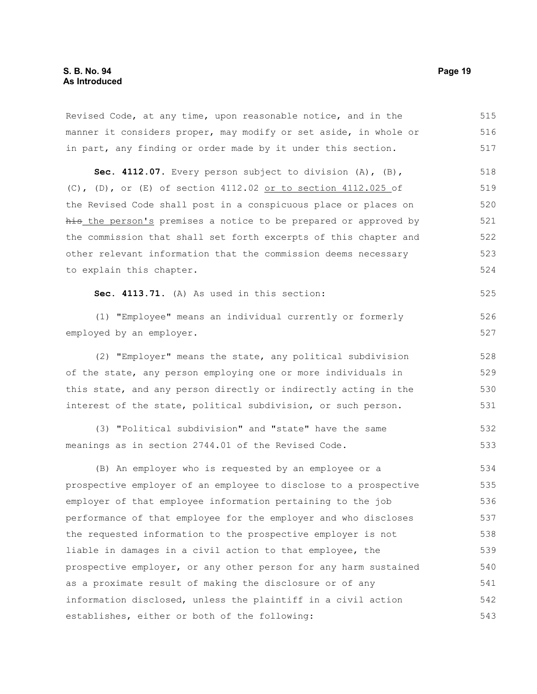Revised Code, at any time, upon reasonable notice, and in the manner it considers proper, may modify or set aside, in whole or in part, any finding or order made by it under this section. 515 516 517

**Sec. 4112.07.** Every person subject to division (A), (B), (C), (D), or (E) of section 4112.02 or to section 4112.025 of the Revised Code shall post in a conspicuous place or places on his the person's premises a notice to be prepared or approved by the commission that shall set forth excerpts of this chapter and other relevant information that the commission deems necessary to explain this chapter. 518 519 520 521 522 523 524

**Sec. 4113.71.** (A) As used in this section:

(1) "Employee" means an individual currently or formerly employed by an employer.

(2) "Employer" means the state, any political subdivision of the state, any person employing one or more individuals in this state, and any person directly or indirectly acting in the interest of the state, political subdivision, or such person. 528 529 530 531

(3) "Political subdivision" and "state" have the same meanings as in section 2744.01 of the Revised Code. 532 533

(B) An employer who is requested by an employee or a prospective employer of an employee to disclose to a prospective employer of that employee information pertaining to the job performance of that employee for the employer and who discloses the requested information to the prospective employer is not liable in damages in a civil action to that employee, the prospective employer, or any other person for any harm sustained as a proximate result of making the disclosure or of any information disclosed, unless the plaintiff in a civil action establishes, either or both of the following: 534 535 536 537 538 539 540 541 542 543

525